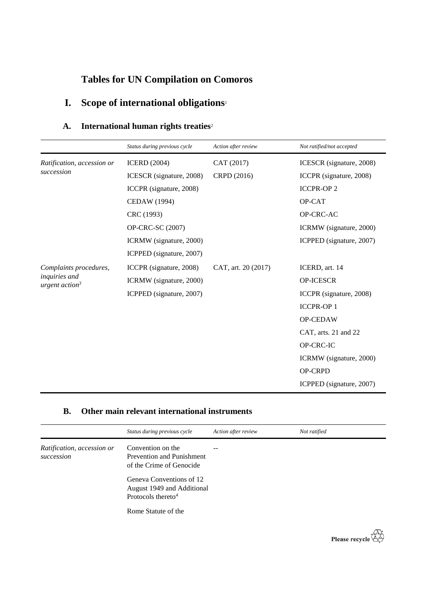## **Tables for UN Compilation on Comoros**

# **I. Scope of international obligations**<sup>1</sup>

### **A. International human rights treaties**<sup>2</sup>

|                                                                       | Status during previous cycle | Action after review | Not ratified/not accepted |
|-----------------------------------------------------------------------|------------------------------|---------------------|---------------------------|
| Ratification, accession or<br>succession                              | <b>ICERD</b> (2004)          | CAT (2017)          | ICESCR (signature, 2008)  |
|                                                                       | ICESCR (signature, 2008)     | CRPD (2016)         | ICCPR (signature, 2008)   |
|                                                                       | ICCPR (signature, 2008)      |                     | <b>ICCPR-OP2</b>          |
|                                                                       | CEDAW (1994)                 |                     | OP-CAT                    |
|                                                                       | CRC (1993)                   |                     | OP-CRC-AC                 |
|                                                                       | OP-CRC-SC (2007)             |                     | ICRMW (signature, 2000)   |
|                                                                       | ICRMW (signature, 2000)      |                     | ICPPED (signature, 2007)  |
|                                                                       | ICPPED (signature, 2007)     |                     |                           |
| Complaints procedures,<br>inquiries and<br>urgent action <sup>3</sup> | ICCPR (signature, 2008)      | CAT, art. 20 (2017) | ICERD, art. 14            |
|                                                                       | ICRMW (signature, 2000)      |                     | <b>OP-ICESCR</b>          |
|                                                                       | ICPPED (signature, 2007)     |                     | ICCPR (signature, 2008)   |
|                                                                       |                              |                     | <b>ICCPR-OP1</b>          |
|                                                                       |                              |                     | OP-CEDAW                  |
|                                                                       |                              |                     | CAT, arts. 21 and 22      |
|                                                                       |                              |                     | OP-CRC-IC                 |
|                                                                       |                              |                     | ICRMW (signature, 2000)   |
|                                                                       |                              |                     | <b>OP-CRPD</b>            |
|                                                                       |                              |                     | ICPPED (signature, 2007)  |

### **B. Other main relevant international instruments**

|                                          | Status during previous cycle                                                                                                                                                  | Action after review | Not ratified |
|------------------------------------------|-------------------------------------------------------------------------------------------------------------------------------------------------------------------------------|---------------------|--------------|
| Ratification, accession or<br>succession | Convention on the<br><b>Prevention and Punishment</b><br>of the Crime of Genocide<br>Geneva Conventions of 12<br>August 1949 and Additional<br>Protocols thereto <sup>4</sup> | --                  |              |
|                                          | Rome Statute of the                                                                                                                                                           |                     |              |

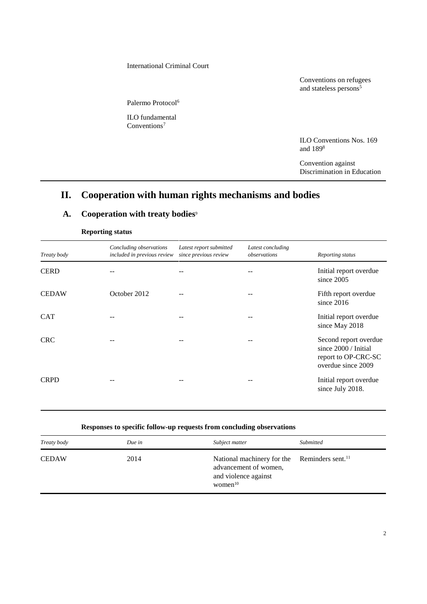#### International Criminal Court

Conventions on refugees and stateless persons<sup>5</sup>

Palermo Protocol<sup>6</sup>

ILO fundamental Conventions<sup>7</sup>

> ILO Conventions Nos. 169 and 189<sup>8</sup>

Convention against Discrimination in Education

## **II. Cooperation with human rights mechanisms and bodies**

### A. Cooperation with treaty bodies<sup>9</sup>

| Treaty body  | Concluding observations<br>included in previous review | Latest report submitted<br>since previous review | Latest concluding<br>observations | Reporting status                                                                                    |
|--------------|--------------------------------------------------------|--------------------------------------------------|-----------------------------------|-----------------------------------------------------------------------------------------------------|
| <b>CERD</b>  |                                                        |                                                  |                                   | Initial report overdue<br>since $2005$                                                              |
| <b>CEDAW</b> | October 2012                                           |                                                  |                                   | Fifth report overdue<br>since $2016$                                                                |
| <b>CAT</b>   |                                                        |                                                  |                                   | Initial report overdue<br>since May 2018                                                            |
| <b>CRC</b>   |                                                        |                                                  |                                   | Second report overdue<br>since $2000 / \text{Initial}$<br>report to OP-CRC-SC<br>overdue since 2009 |
| <b>CRPD</b>  |                                                        | --                                               |                                   | Initial report overdue<br>since July 2018.                                                          |

#### **Reporting status**

| Responses to specific follow-up requests from concluding observations |
|-----------------------------------------------------------------------|
|-----------------------------------------------------------------------|

| Treaty body  | Due in | Subject matter                                                                                                          | Submitted |
|--------------|--------|-------------------------------------------------------------------------------------------------------------------------|-----------|
| <b>CEDAW</b> | 2014   | National machinery for the Reminders sent. <sup>11</sup><br>advancement of women,<br>and violence against<br>women $10$ |           |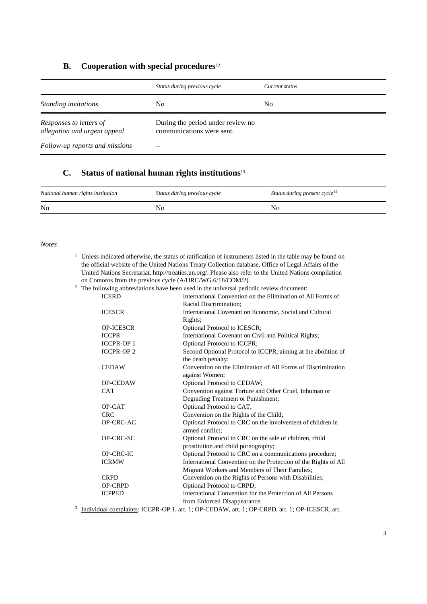#### **B. Cooperation with special procedures**<sup>12</sup>

|                                                         | Status during previous cycle                                   | Current status |
|---------------------------------------------------------|----------------------------------------------------------------|----------------|
| Standing invitations                                    | No                                                             | No             |
| Responses to letters of<br>allegation and urgent appeal | During the period under review no<br>communications were sent. |                |
| Follow-up reports and missions                          |                                                                |                |

### **C. Status of national human rights institutions**<sup>13</sup>

| National human rights institution | Status during previous cycle | Status during present cycle <sup>14</sup> |
|-----------------------------------|------------------------------|-------------------------------------------|
| N <sub>0</sub>                    |                              | Nc                                        |

#### *Notes*

<sup>1</sup> Unless indicated otherwise, the status of ratification of instruments listed in the table may be found on the official website of the United Nations Treaty Collection database, Office of Legal Affairs of the United Nations Secretariat, http://treaties.un.org/. Please also refer to the United Nations compilation on Comoros from the previous cycle (A/HRC/WG.6/18/COM/2).<br><sup>2</sup> The following abbreviations have been used in the universal period

| The following abbreviations have been used in the universal periodic review document: |                  |                                                                                              |
|---------------------------------------------------------------------------------------|------------------|----------------------------------------------------------------------------------------------|
|                                                                                       | <b>ICERD</b>     | International Convention on the Elimination of All Forms of                                  |
|                                                                                       |                  | Racial Discrimination;                                                                       |
|                                                                                       | <b>ICESCR</b>    | International Covenant on Economic, Social and Cultural                                      |
|                                                                                       |                  | Rights;                                                                                      |
|                                                                                       | <b>OP-ICESCR</b> | Optional Protocol to ICESCR;                                                                 |
|                                                                                       | <b>ICCPR</b>     | International Covenant on Civil and Political Rights;                                        |
|                                                                                       | <b>ICCPR-OP1</b> | Optional Protocol to ICCPR;                                                                  |
|                                                                                       | <b>ICCPR-OP2</b> | Second Optional Protocol to ICCPR, aiming at the abolition of                                |
|                                                                                       |                  | the death penalty;                                                                           |
|                                                                                       | <b>CEDAW</b>     | Convention on the Elimination of All Forms of Discrimination                                 |
|                                                                                       |                  | against Women;                                                                               |
|                                                                                       | <b>OP-CEDAW</b>  | Optional Protocol to CEDAW;                                                                  |
|                                                                                       | <b>CAT</b>       | Convention against Torture and Other Cruel, Inhuman or                                       |
|                                                                                       |                  | Degrading Treatment or Punishment;                                                           |
|                                                                                       | OP-CAT           | Optional Protocol to CAT;                                                                    |
|                                                                                       | <b>CRC</b>       | Convention on the Rights of the Child;                                                       |
|                                                                                       | OP-CRC-AC        | Optional Protocol to CRC on the involvement of children in                                   |
|                                                                                       |                  | armed conflict:                                                                              |
|                                                                                       | OP-CRC-SC        | Optional Protocol to CRC on the sale of children, child                                      |
|                                                                                       |                  | prostitution and child pornography;                                                          |
|                                                                                       | OP-CRC-IC        | Optional Protocol to CRC on a communications procedure;                                      |
|                                                                                       | <b>ICRMW</b>     | International Convention on the Protection of the Rights of All                              |
|                                                                                       |                  | Migrant Workers and Members of Their Families;                                               |
|                                                                                       | <b>CRPD</b>      | Convention on the Rights of Persons with Disabilities;                                       |
|                                                                                       | <b>OP-CRPD</b>   | Optional Protocol to CRPD;                                                                   |
|                                                                                       | <b>ICPPED</b>    | International Convention for the Protection of All Persons                                   |
|                                                                                       |                  | from Enforced Disappearance.                                                                 |
|                                                                                       |                  | $3$ Individual complaints: $ICCPR$ -OP 1 art 1: OP-CEDAW art 1: OP-CRPD art 1: OP-ICESCR art |

<sup>3</sup> Individual complaints: ICCPR-OP 1, art. 1; OP-CEDAW, art. 1; OP-CRPD, art. 1; OP-ICESCR, art.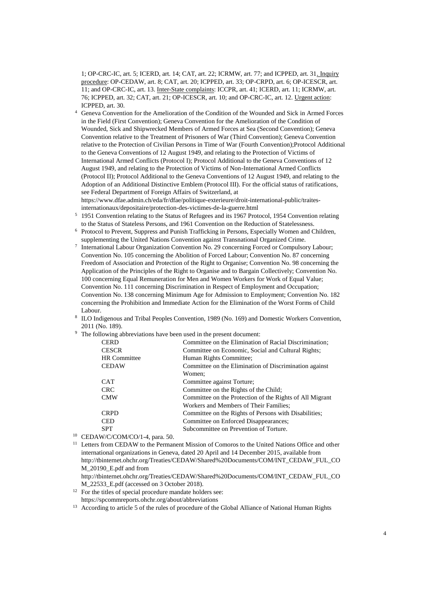1; OP-CRC-IC, art. 5; ICERD, art. 14; CAT, art. 22; ICRMW, art. 77; and ICPPED, art. 31. Inquiry procedure: OP-CEDAW, art. 8; CAT, art. 20; ICPPED, art. 33; OP-CRPD, art. 6; OP-ICESCR, art. 11; and OP-CRC-IC, art. 13. Inter-State complaints: ICCPR, art. 41; ICERD, art. 11; ICRMW, art. 76; ICPPED, art. 32; CAT, art. 21; OP-ICESCR, art. 10; and OP-CRC-IC, art. 12. Urgent action: ICPPED, art. 30.

- <sup>4</sup> Geneva Convention for the Amelioration of the Condition of the Wounded and Sick in Armed Forces in the Field (First Convention); Geneva Convention for the Amelioration of the Condition of Wounded, Sick and Shipwrecked Members of Armed Forces at Sea (Second Convention); Geneva Convention relative to the Treatment of Prisoners of War (Third Convention); Geneva Convention relative to the Protection of Civilian Persons in Time of War (Fourth Convention);Protocol Additional to the Geneva Conventions of 12 August 1949, and relating to the Protection of Victims of International Armed Conflicts (Protocol I); Protocol Additional to the Geneva Conventions of 12 August 1949, and relating to the Protection of Victims of Non-International Armed Conflicts (Protocol II); Protocol Additional to the Geneva Conventions of 12 August 1949, and relating to the Adoption of an Additional Distinctive Emblem (Protocol III). For the official status of ratifications, see Federal Department of Foreign Affairs of Switzerland, at
- https://www.dfae.admin.ch/eda/fr/dfae/politique-exterieure/droit-international-public/traitesinternationaux/depositaire/protection-des-victimes-de-la-guerre.html
- <sup>5</sup> 1951 Convention relating to the Status of Refugees and its 1967 Protocol, 1954 Convention relating to the Status of Stateless Persons, and 1961 Convention on the Reduction of Statelessness.
- <sup>6</sup> Protocol to Prevent, Suppress and Punish Trafficking in Persons, Especially Women and Children, supplementing the United Nations Convention against Transnational Organized Crime.
- 7 International Labour Organization Convention No. 29 concerning Forced or Compulsory Labour; Convention No. 105 concerning the Abolition of Forced Labour; Convention No. 87 concerning Freedom of Association and Protection of the Right to Organise; Convention No. 98 concerning the Application of the Principles of the Right to Organise and to Bargain Collectively; Convention No. 100 concerning Equal Remuneration for Men and Women Workers for Work of Equal Value; Convention No. 111 concerning Discrimination in Respect of Employment and Occupation; Convention No. 138 concerning Minimum Age for Admission to Employment; Convention No. 182 concerning the Prohibition and Immediate Action for the Elimination of the Worst Forms of Child Labour.
- 8 ILO Indigenous and Tribal Peoples Convention, 1989 (No. 169) and Domestic Workers Convention, 2011 (No. 189).
- <sup>9</sup> The following abbreviations have been used in the present document:

| <b>CERD</b>                                                                     | Committee on the Elimination of Racial Discrimination;   |
|---------------------------------------------------------------------------------|----------------------------------------------------------|
| <b>CESCR</b>                                                                    | Committee on Economic, Social and Cultural Rights;       |
| HR Committee                                                                    | Human Rights Committee;                                  |
| <b>CEDAW</b>                                                                    | Committee on the Elimination of Discrimination against   |
|                                                                                 | Women:                                                   |
| <b>CAT</b>                                                                      | Committee against Torture;                               |
| <b>CRC</b>                                                                      | Committee on the Rights of the Child;                    |
| <b>CMW</b>                                                                      | Committee on the Protection of the Rights of All Migrant |
|                                                                                 | Workers and Members of Their Families;                   |
| <b>CRPD</b>                                                                     | Committee on the Rights of Persons with Disabilities;    |
| <b>CED</b>                                                                      | Committee on Enforced Disappearances;                    |
| <b>SPT</b>                                                                      | Subcommittee on Prevention of Torture.                   |
| $\mathbf{u}$ $\mathbf{u}$ $\alpha$ $\alpha$ $\alpha$ $\alpha$ $\alpha$ $\alpha$ |                                                          |

- <sup>10</sup> CEDAW/C/COM/CO/1-4, para. 50.
- <sup>11</sup> Letters from CEDAW to the Permanent Mission of Comoros to the United Nations Office and other international organizations in Geneva, dated 20 April and 14 December 2015, available from [http://tbinternet.ohchr.org/Treaties/CEDAW/Shared%20Documents/COM/INT\\_CEDAW\\_FUL\\_CO](http://tbinternet.ohchr.org/Treaties/CEDAW/Shared%20Documents/COM/INT_CEDAW_FUL_COM_20190_E.pdf) [M\\_20190\\_E.pdf](http://tbinternet.ohchr.org/Treaties/CEDAW/Shared%20Documents/COM/INT_CEDAW_FUL_COM_20190_E.pdf) and from

http://tbinternet.ohchr.org/Treaties/CEDAW/Shared%20Documents/COM/INT\_CEDAW\_FUL\_CO M\_22533\_E.pdf (accessed on 3 October 2018).

<sup>12</sup> For the titles of special procedure mandate holders see: https://spcommreports.ohchr.org/about/abbreviations

<sup>13</sup> According to article 5 of the rules of procedure of the Global Alliance of National Human Rights